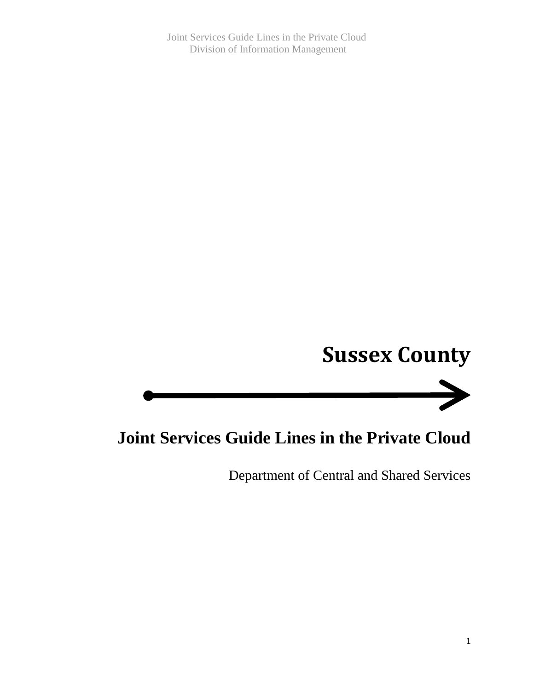Joint Services Guide Lines in the Private Cloud Division of Information Management

# **Sussex County**



# **Joint Services Guide Lines in the Private Cloud**

Department of Central and Shared Services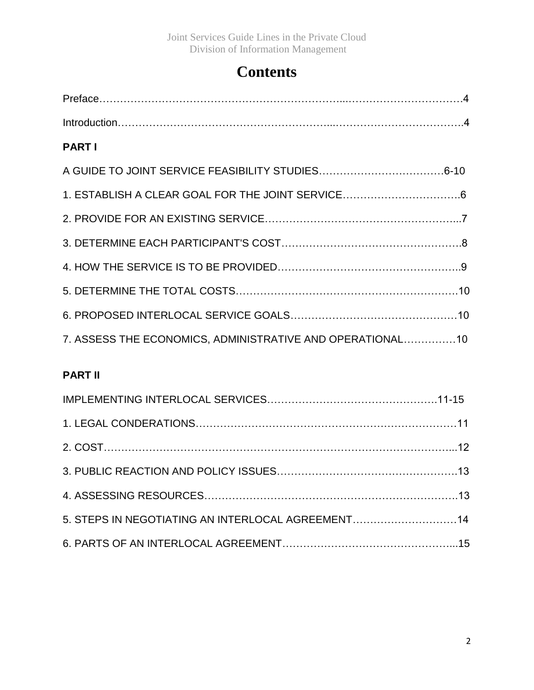# **Contents**

| 1. ESTABLISH A CLEAR GOAL FOR THE JOINT SERVICE6          |
|-----------------------------------------------------------|
|                                                           |
|                                                           |
|                                                           |
|                                                           |
|                                                           |
| 7. ASSESS THE ECONOMICS, ADMINISTRATIVE AND OPERATIONAL10 |
|                                                           |

## **PART II**

| 5. STEPS IN NEGOTIATING AN INTERLOCAL AGREEMENT14 |  |
|---------------------------------------------------|--|
|                                                   |  |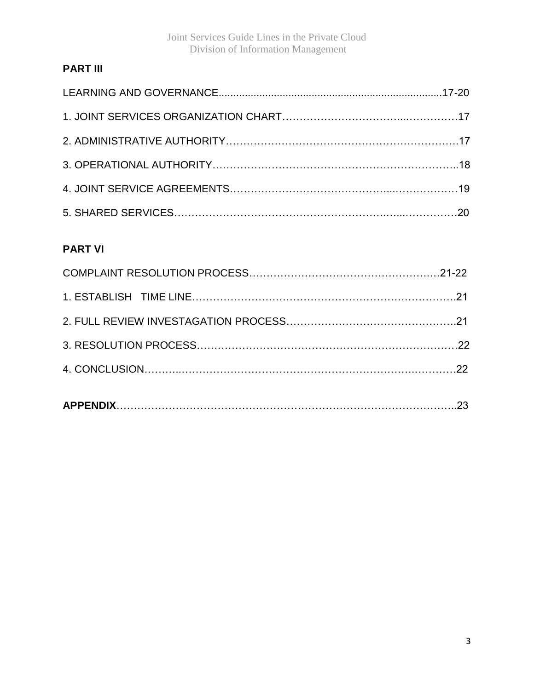Joint Services Guide Lines in the Private Cloud Division of Information Management

### **PART III**

### **PART VI**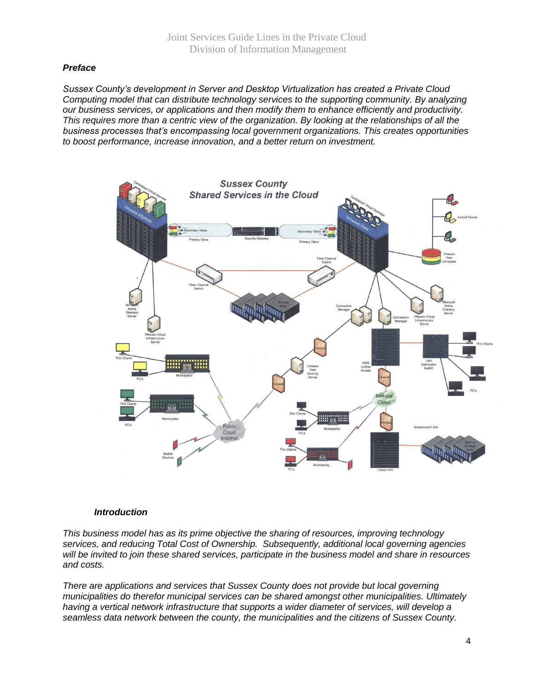#### *Preface*

*Sussex County's development in Server and Desktop Virtualization has created a Private Cloud Computing model that can distribute technology services to the supporting community. By analyzing our business services, or applications and then modify them to enhance efficiently and productivity. This requires more than a centric view of the organization. By looking at the relationships of all the business processes that's encompassing local government organizations. This creates opportunities to boost performance, increase innovation, and a better return on investment.*



#### *Introduction*

*This business model has as its prime objective the sharing of resources, improving technology services, and reducing Total Cost of Ownership. Subsequently, additional local governing agencies will be invited to join these shared services, participate in the business model and share in resources and costs.*

*There are applications and services that Sussex County does not provide but local governing municipalities do therefor municipal services can be shared amongst other municipalities. Ultimately having a vertical network infrastructure that supports a wider diameter of services, will develop a seamless data network between the county, the municipalities and the citizens of Sussex County.*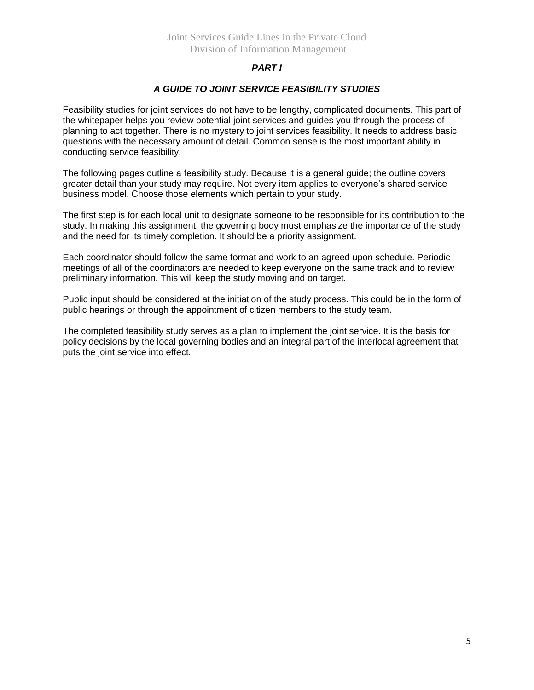#### *PART I*

#### *A GUIDE TO JOINT SERVICE FEASIBILITY STUDIES*

Feasibility studies for joint services do not have to be lengthy, complicated documents. This part of the whitepaper helps you review potential joint services and guides you through the process of planning to act together. There is no mystery to joint services feasibility. It needs to address basic questions with the necessary amount of detail. Common sense is the most important ability in conducting service feasibility.

The following pages outline a feasibility study. Because it is a general guide; the outline covers greater detail than your study may require. Not every item applies to everyone's shared service business model. Choose those elements which pertain to your study.

The first step is for each local unit to designate someone to be responsible for its contribution to the study. In making this assignment, the governing body must emphasize the importance of the study and the need for its timely completion. It should be a priority assignment.

Each coordinator should follow the same format and work to an agreed upon schedule. Periodic meetings of all of the coordinators are needed to keep everyone on the same track and to review preliminary information. This will keep the study moving and on target.

Public input should be considered at the initiation of the study process. This could be in the form of public hearings or through the appointment of citizen members to the study team.

The completed feasibility study serves as a plan to implement the joint service. It is the basis for policy decisions by the local governing bodies and an integral part of the interlocal agreement that puts the joint service into effect.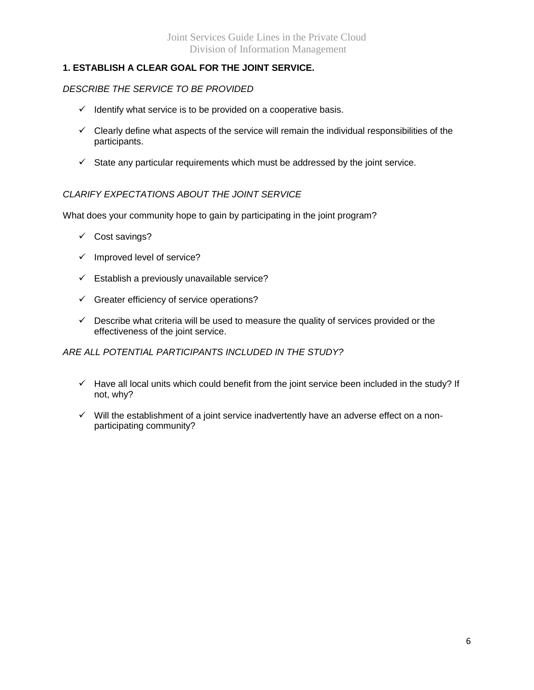#### **1. ESTABLISH A CLEAR GOAL FOR THE JOINT SERVICE.**

#### *DESCRIBE THE SERVICE TO BE PROVIDED*

- $\checkmark$  Identify what service is to be provided on a cooperative basis.
- $\checkmark$  Clearly define what aspects of the service will remain the individual responsibilities of the participants.
- $\checkmark$  State any particular requirements which must be addressed by the joint service.

#### *CLARIFY EXPECTATIONS ABOUT THE JOINT SERVICE*

What does your community hope to gain by participating in the joint program?

- $\checkmark$  Cost savings?
- $\checkmark$  Improved level of service?
- $\checkmark$  Establish a previously unavailable service?
- $\checkmark$  Greater efficiency of service operations?
- $\checkmark$  Describe what criteria will be used to measure the quality of services provided or the effectiveness of the joint service.

#### *ARE ALL POTENTIAL PARTICIPANTS INCLUDED IN THE STUDY?*

- $\checkmark$  Have all local units which could benefit from the joint service been included in the study? If not, why?
- $\checkmark$  Will the establishment of a joint service inadvertently have an adverse effect on a nonparticipating community?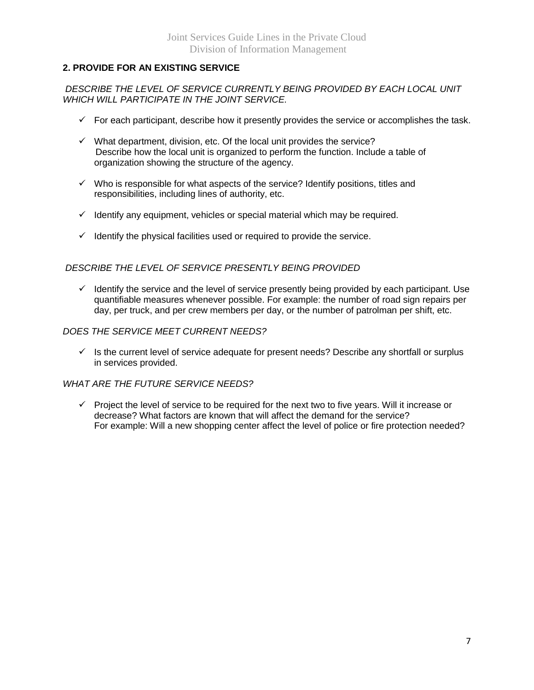#### **2. PROVIDE FOR AN EXISTING SERVICE**

#### *DESCRIBE THE LEVEL OF SERVICE CURRENTLY BEING PROVIDED BY EACH LOCAL UNIT WHICH WILL PARTICIPATE IN THE JOINT SERVICE.*

- $\checkmark$  For each participant, describe how it presently provides the service or accomplishes the task.
- $\checkmark$  What department, division, etc. Of the local unit provides the service? Describe how the local unit is organized to perform the function. Include a table of organization showing the structure of the agency.
- $\checkmark$  Who is responsible for what aspects of the service? Identify positions, titles and responsibilities, including lines of authority, etc.
- $\checkmark$  Identify any equipment, vehicles or special material which may be required.
- $\checkmark$  Identify the physical facilities used or required to provide the service.

#### *DESCRIBE THE LEVEL OF SERVICE PRESENTLY BEING PROVIDED*

 $\checkmark$  Identify the service and the level of service presently being provided by each participant. Use quantifiable measures whenever possible. For example: the number of road sign repairs per day, per truck, and per crew members per day, or the number of patrolman per shift, etc.

#### *DOES THE SERVICE MEET CURRENT NEEDS?*

 $\checkmark$  Is the current level of service adequate for present needs? Describe any shortfall or surplus in services provided.

#### *WHAT ARE THE FUTURE SERVICE NEEDS?*

 $\checkmark$  Project the level of service to be required for the next two to five years. Will it increase or decrease? What factors are known that will affect the demand for the service? For example: Will a new shopping center affect the level of police or fire protection needed?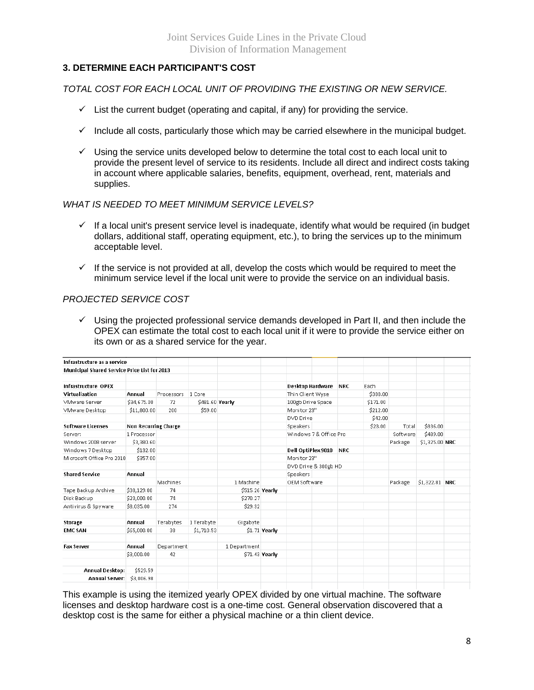#### **3. DETERMINE EACH PARTICIPANT'S COST**

*TOTAL COST FOR EACH LOCAL UNIT OF PROVIDING THE EXISTING OR NEW SERVICE.*

- $\checkmark$  List the current budget (operating and capital, if any) for providing the service.
- $\checkmark$  Include all costs, particularly those which may be carried elsewhere in the municipal budget.
- $\checkmark$  Using the service units developed below to determine the total cost to each local unit to provide the present level of service to its residents. Include all direct and indirect costs taking in account where applicable salaries, benefits, equipment, overhead, rent, materials and supplies.

#### *WHAT IS NEEDED TO MEET MINIMUM SERVICE LEVELS?*

- $\checkmark$  If a local unit's present service level is inadequate, identify what would be required (in budget dollars, additional staff, operating equipment, etc.), to bring the services up to the minimum acceptable level.
- $\checkmark$  If the service is not provided at all, develop the costs which would be required to meet the minimum service level if the local unit were to provide the service on an individual basis.

#### *PROJECTED SERVICE COST*

 $\checkmark$  Using the projected professional service demands developed in Part II, and then include the OPEX can estimate the total cost to each local unit if it were to provide the service either on its own or as a shared service for the year.

| Infrastructure as a service                         |                             |            |                 |                 |                |                        |  |            |          |          |                 |  |
|-----------------------------------------------------|-----------------------------|------------|-----------------|-----------------|----------------|------------------------|--|------------|----------|----------|-----------------|--|
| <b>Municipal Shared Service Price List for 2013</b> |                             |            |                 |                 |                |                        |  |            |          |          |                 |  |
| Infrastructure OPEX                                 |                             |            |                 |                 |                | Desktop Hardware       |  | <b>NRC</b> | Each     |          |                 |  |
| Virtualization                                      | Annual                      | Processors | 1 Core          |                 |                | Thin Client Wyse       |  |            | \$388.00 |          |                 |  |
| VMware Server                                       | \$34,675.00                 | 72         | \$481.60 Yearly |                 |                | 100gb Drive Space      |  |            | \$171.00 |          |                 |  |
| VMware Desktop                                      | \$11,800.00                 | 200        | \$59.00         |                 |                | Monitor 23"            |  |            | \$212.00 |          |                 |  |
|                                                     |                             |            |                 |                 |                | DVD Drive              |  |            | \$42.00  |          |                 |  |
| <b>Software Licenses</b>                            | <b>Non Recurring Charge</b> |            |                 |                 |                | Speakers               |  |            | \$23.00  | Total    | \$836.00        |  |
| Server:                                             | 1 Processor                 |            |                 |                 |                | Windows 7 & Office Pro |  |            |          | Software | \$489.00        |  |
| Windows 2008 server                                 | \$3,380.60                  |            |                 |                 |                |                        |  |            |          | Package  | \$1,325.00 NRC  |  |
| Windows 7 Desktop                                   | \$132.00                    |            |                 |                 |                | Dell OptiPlex 9010     |  | <b>NRC</b> |          |          |                 |  |
| Microsoft Office Pro 2010                           | \$357.00                    |            |                 |                 |                | Monitor 23"            |  |            |          |          |                 |  |
|                                                     |                             |            |                 |                 |                | DVD Drive & 300gb HD   |  |            |          |          |                 |  |
| <b>Shared Service</b>                               | Annual                      |            |                 |                 |                | Speakers               |  |            |          |          |                 |  |
|                                                     |                             | Machines   |                 | 1 Machine       |                | OEM Software           |  |            |          | Package  | $$1,322.81$ NRC |  |
| Tape Backup Archive                                 | \$38,129.00                 | 74         |                 | \$515.26 Yearly |                |                        |  |            |          |          |                 |  |
| Disk Backup                                         | \$20,000.00                 | 74         |                 | \$270.27        |                |                        |  |            |          |          |                 |  |
| Antivirus & Spyware                                 | \$8,035.00                  | 274        |                 | \$29.32         |                |                        |  |            |          |          |                 |  |
| Storage                                             | Annual                      | Terabytes  | 1 Terabyte      | Gigabyte        |                |                        |  |            |          |          |                 |  |
| <b>EMC SAN</b>                                      | \$65,000.00                 | 38         | \$1,710.53      |                 | $$1.71$ Yearly |                        |  |            |          |          |                 |  |
| <b>Fax Server</b>                                   | Annual                      |            |                 | 1 Department    |                |                        |  |            |          |          |                 |  |
|                                                     |                             | Department |                 |                 |                |                        |  |            |          |          |                 |  |
|                                                     | \$3,000.00                  | 42         |                 |                 | \$71.43 Yearly |                        |  |            |          |          |                 |  |
| Annual Desktop:                                     | \$529.59                    |            |                 |                 |                |                        |  |            |          |          |                 |  |
| <b>Annual Server:</b>                               | \$3,006.98                  |            |                 |                 |                |                        |  |            |          |          |                 |  |
|                                                     |                             |            |                 |                 |                |                        |  |            |          |          |                 |  |

This example is using the itemized yearly OPEX divided by one virtual machine. The software licenses and desktop hardware cost is a one-time cost. General observation discovered that a desktop cost is the same for either a physical machine or a thin client device.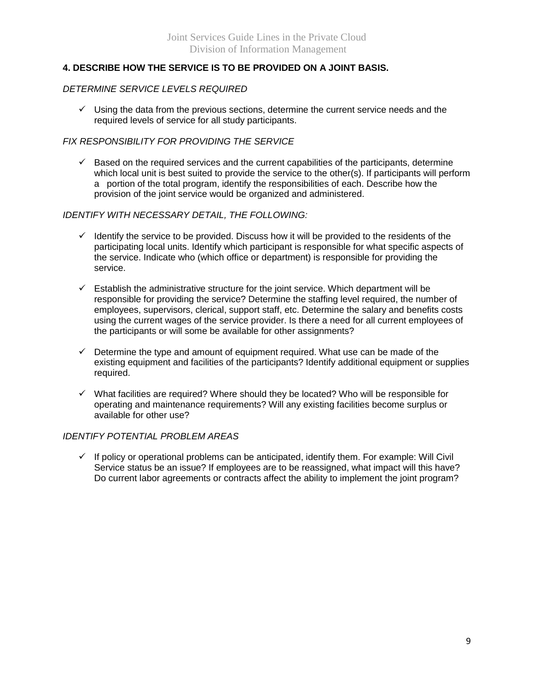#### **4. DESCRIBE HOW THE SERVICE IS TO BE PROVIDED ON A JOINT BASIS.**

#### *DETERMINE SERVICE LEVELS REQUIRED*

 $\checkmark$  Using the data from the previous sections, determine the current service needs and the required levels of service for all study participants.

#### *FIX RESPONSIBILITY FOR PROVIDING THE SERVICE*

 $\checkmark$  Based on the required services and the current capabilities of the participants, determine which local unit is best suited to provide the service to the other(s). If participants will perform a portion of the total program, identify the responsibilities of each. Describe how the provision of the joint service would be organized and administered.

#### *IDENTIFY WITH NECESSARY DETAIL, THE FOLLOWING:*

- $\checkmark$  Identify the service to be provided. Discuss how it will be provided to the residents of the participating local units. Identify which participant is responsible for what specific aspects of the service. Indicate who (which office or department) is responsible for providing the service.
- $\checkmark$  Establish the administrative structure for the joint service. Which department will be responsible for providing the service? Determine the staffing level required, the number of employees, supervisors, clerical, support staff, etc. Determine the salary and benefits costs using the current wages of the service provider. Is there a need for all current employees of the participants or will some be available for other assignments?
- $\checkmark$  Determine the type and amount of equipment required. What use can be made of the existing equipment and facilities of the participants? Identify additional equipment or supplies required.
- $\checkmark$  What facilities are required? Where should they be located? Who will be responsible for operating and maintenance requirements? Will any existing facilities become surplus or available for other use?

#### *IDENTIFY POTENTIAL PROBLEM AREAS*

 $\checkmark$  If policy or operational problems can be anticipated, identify them. For example: Will Civil Service status be an issue? If employees are to be reassigned, what impact will this have? Do current labor agreements or contracts affect the ability to implement the joint program?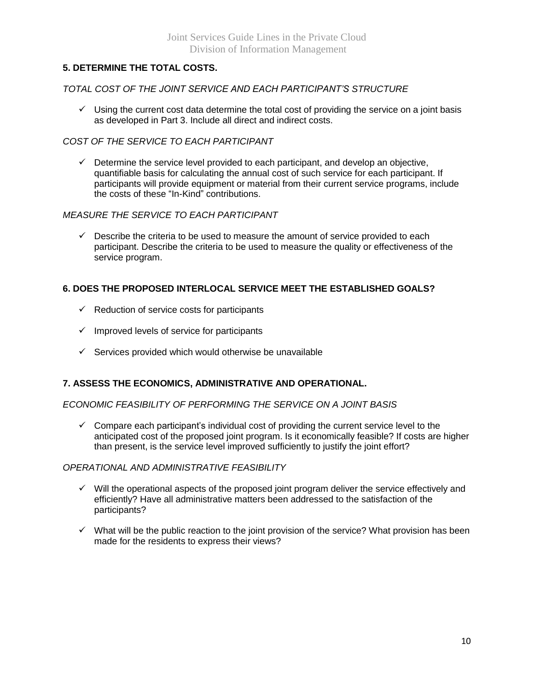#### **5. DETERMINE THE TOTAL COSTS.**

#### *TOTAL COST OF THE JOINT SERVICE AND EACH PARTICIPANT'S STRUCTURE*

 $\checkmark$  Using the current cost data determine the total cost of providing the service on a joint basis as developed in Part 3. Include all direct and indirect costs.

#### *COST OF THE SERVICE TO EACH PARTICIPANT*

 $\checkmark$  Determine the service level provided to each participant, and develop an objective, quantifiable basis for calculating the annual cost of such service for each participant. If participants will provide equipment or material from their current service programs, include the costs of these "In-Kind" contributions.

#### *MEASURE THE SERVICE TO EACH PARTICIPANT*

 $\checkmark$  Describe the criteria to be used to measure the amount of service provided to each participant. Describe the criteria to be used to measure the quality or effectiveness of the service program.

#### **6. DOES THE PROPOSED INTERLOCAL SERVICE MEET THE ESTABLISHED GOALS?**

- $\checkmark$  Reduction of service costs for participants
- $\checkmark$  Improved levels of service for participants
- $\checkmark$  Services provided which would otherwise be unavailable

#### **7. ASSESS THE ECONOMICS, ADMINISTRATIVE AND OPERATIONAL.**

#### *ECONOMIC FEASIBILITY OF PERFORMING THE SERVICE ON A JOINT BASIS*

 $\checkmark$  Compare each participant's individual cost of providing the current service level to the anticipated cost of the proposed joint program. Is it economically feasible? If costs are higher than present, is the service level improved sufficiently to justify the joint effort?

#### *OPERATIONAL AND ADMINISTRATIVE FEASIBILITY*

- $\checkmark$  Will the operational aspects of the proposed joint program deliver the service effectively and efficiently? Have all administrative matters been addressed to the satisfaction of the participants?
- $\checkmark$  What will be the public reaction to the joint provision of the service? What provision has been made for the residents to express their views?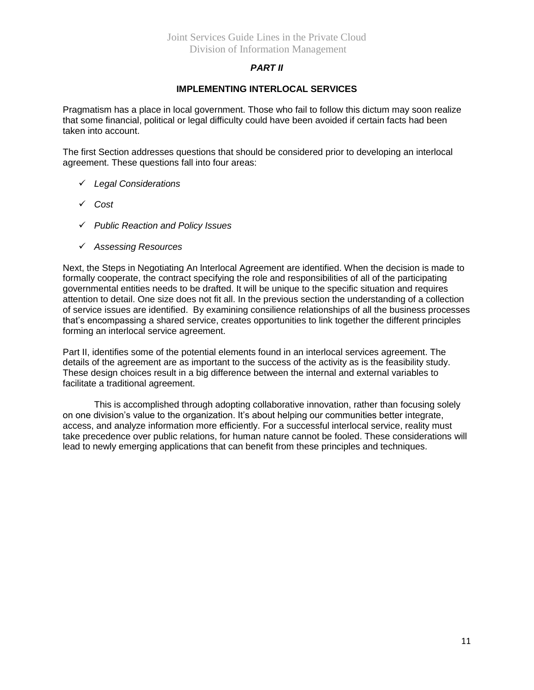#### *PART II*

#### **IMPLEMENTING INTERLOCAL SERVICES**

Pragmatism has a place in local government. Those who fail to follow this dictum may soon realize that some financial, political or legal difficulty could have been avoided if certain facts had been taken into account.

The first Section addresses questions that should be considered prior to developing an interlocal agreement. These questions fall into four areas:

- *Legal Considerations*
- *Cost*
- *Public Reaction and Policy Issues*
- *Assessing Resources*

Next, the Steps in Negotiating An lnterlocal Agreement are identified. When the decision is made to formally cooperate, the contract specifying the role and responsibilities of all of the participating governmental entities needs to be drafted. It will be unique to the specific situation and requires attention to detail. One size does not fit all. In the previous section the understanding of a collection of service issues are identified. By examining consilience relationships of all the business processes that's encompassing a shared service, creates opportunities to link together the different principles forming an interlocal service agreement.

Part II, identifies some of the potential elements found in an interlocal services agreement. The details of the agreement are as important to the success of the activity as is the feasibility study. These design choices result in a big difference between the internal and external variables to facilitate a traditional agreement.

This is accomplished through adopting collaborative innovation, rather than focusing solely on one division's value to the organization. It's about helping our communities better integrate, access, and analyze information more efficiently. For a successful interlocal service, reality must take precedence over public relations, for human nature cannot be fooled. These considerations will lead to newly emerging applications that can benefit from these principles and techniques.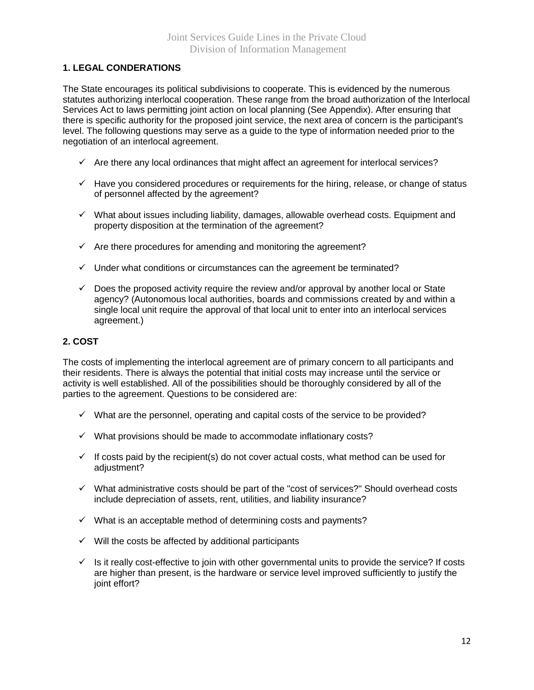#### **1. LEGAL CONDERATIONS**

The State encourages its political subdivisions to cooperate. This is evidenced by the numerous statutes authorizing interlocal cooperation. These range from the broad authorization of the lnterlocal Services Act to laws permitting joint action on local planning (See Appendix). After ensuring that there is specific authority for the proposed joint service, the next area of concern is the participant's level. The following questions may serve as a guide to the type of information needed prior to the negotiation of an interlocal agreement.

- $\checkmark$  Are there any local ordinances that might affect an agreement for interlocal services?
- $\checkmark$  Have you considered procedures or requirements for the hiring, release, or change of status of personnel affected by the agreement?
- $\checkmark$  What about issues including liability, damages, allowable overhead costs. Equipment and property disposition at the termination of the agreement?
- $\checkmark$  Are there procedures for amending and monitoring the agreement?
- $\checkmark$  Under what conditions or circumstances can the agreement be terminated?
- $\checkmark$  Does the proposed activity require the review and/or approval by another local or State agency? (Autonomous local authorities, boards and commissions created by and within a single local unit require the approval of that local unit to enter into an interlocal services agreement.)

#### **2. COST**

The costs of implementing the interlocal agreement are of primary concern to all participants and their residents. There is always the potential that initial costs may increase until the service or activity is well established. All of the possibilities should be thoroughly considered by all of the parties to the agreement. Questions to be considered are:

- $\checkmark$  What are the personnel, operating and capital costs of the service to be provided?
- $\checkmark$  What provisions should be made to accommodate inflationary costs?
- $\checkmark$  If costs paid by the recipient(s) do not cover actual costs, what method can be used for adjustment?
- $\checkmark$  What administrative costs should be part of the "cost of services?" Should overhead costs include depreciation of assets, rent, utilities, and liability insurance?
- $\checkmark$  What is an acceptable method of determining costs and payments?
- $\checkmark$  Will the costs be affected by additional participants
- $\checkmark$  Is it really cost-effective to join with other governmental units to provide the service? If costs are higher than present, is the hardware or service level improved sufficiently to justify the joint effort?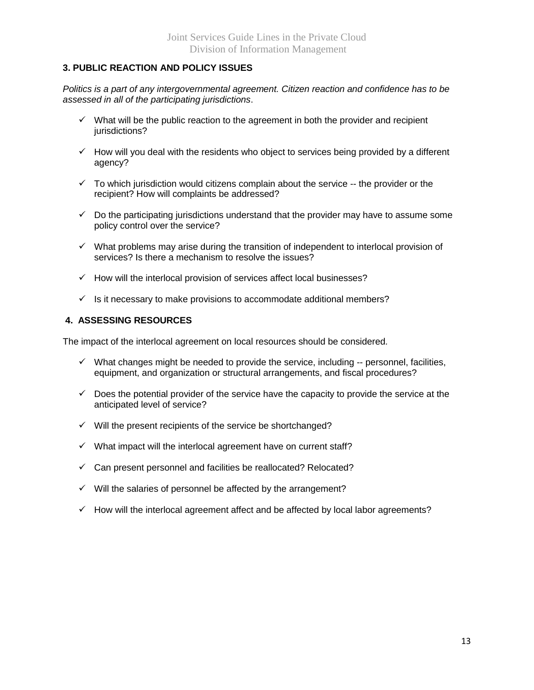#### **3. PUBLIC REACTION AND POLICY ISSUES**

*Politics is a part of any intergovernmental agreement. Citizen reaction and confidence has to be assessed in all of the participating jurisdictions*.

- $\checkmark$  What will be the public reaction to the agreement in both the provider and recipient jurisdictions?
- $\checkmark$  How will you deal with the residents who object to services being provided by a different agency?
- $\checkmark$  To which jurisdiction would citizens complain about the service  $-$  the provider or the recipient? How will complaints be addressed?
- $\checkmark$  Do the participating jurisdictions understand that the provider may have to assume some policy control over the service?
- $\checkmark$  What problems may arise during the transition of independent to interlocal provision of services? Is there a mechanism to resolve the issues?
- $\checkmark$  How will the interlocal provision of services affect local businesses?
- $\checkmark$  Is it necessary to make provisions to accommodate additional members?

#### **4. ASSESSING RESOURCES**

The impact of the interlocal agreement on local resources should be considered*.*

- $\checkmark$  What changes might be needed to provide the service, including -- personnel, facilities, equipment, and organization or structural arrangements, and fiscal procedures?
- $\checkmark$  Does the potential provider of the service have the capacity to provide the service at the anticipated level of service?
- $\checkmark$  Will the present recipients of the service be shortchanged?
- $\checkmark$  What impact will the interlocal agreement have on current staff?
- $\checkmark$  Can present personnel and facilities be reallocated? Relocated?
- $\checkmark$  Will the salaries of personnel be affected by the arrangement?
- $\checkmark$  How will the interlocal agreement affect and be affected by local labor agreements?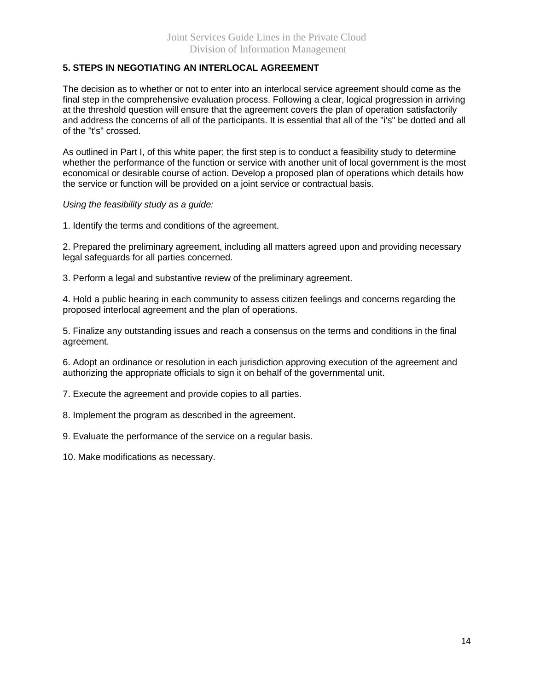#### **5. STEPS IN NEGOTIATING AN INTERLOCAL AGREEMENT**

The decision as to whether or not to enter into an interlocal service agreement should come as the final step in the comprehensive evaluation process. Following a clear, logical progression in arriving at the threshold question will ensure that the agreement covers the plan of operation satisfactorily and address the concerns of all of the participants. It is essential that all of the "i's" be dotted and all of the "t's" crossed.

As outlined in Part I, of this white paper; the first step is to conduct a feasibility study to determine whether the performance of the function or service with another unit of local government is the most economical or desirable course of action. Develop a proposed plan of operations which details how the service or function will be provided on a joint service or contractual basis.

*Using the feasibility study as a guide:*

1. Identify the terms and conditions of the agreement.

2. Prepared the preliminary agreement, including all matters agreed upon and providing necessary legal safeguards for all parties concerned.

3. Perform a legal and substantive review of the preliminary agreement.

4. Hold a public hearing in each community to assess citizen feelings and concerns regarding the proposed interlocal agreement and the plan of operations.

5. Finalize any outstanding issues and reach a consensus on the terms and conditions in the final agreement.

6. Adopt an ordinance or resolution in each jurisdiction approving execution of the agreement and authorizing the appropriate officials to sign it on behalf of the governmental unit.

7. Execute the agreement and provide copies to all parties.

8. Implement the program as described in the agreement.

9. Evaluate the performance of the service on a regular basis.

10. Make modifications as necessary.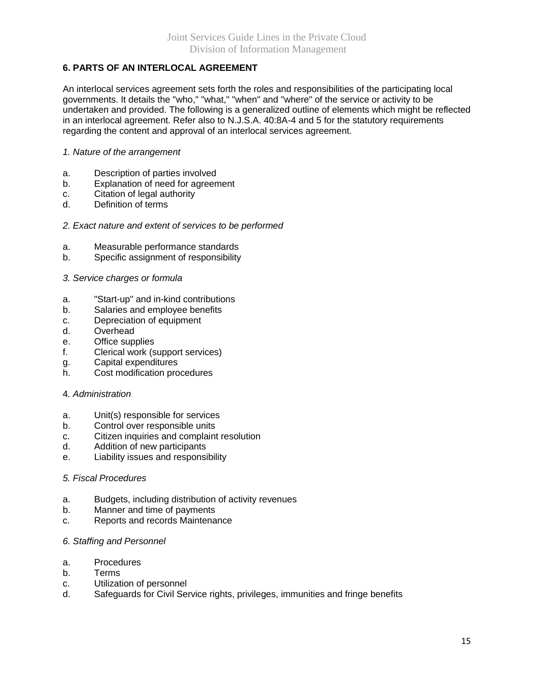#### **6. PARTS OF AN INTERLOCAL AGREEMENT**

An interlocal services agreement sets forth the roles and responsibilities of the participating local governments. It details the "who," "what," "when" and "where" of the service or activity to be undertaken and provided. The following is a generalized outline of elements which might be reflected in an interlocal agreement. Refer also to N.J.S.A. 40:8A-4 and 5 for the statutory requirements regarding the content and approval of an interlocal services agreement.

#### *1. Nature of the arrangement*

- a. Description of parties involved
- b. Explanation of need for agreement
- c. Citation of legal authority
- d. Definition of terms
- *2. Exact nature and extent of services to be performed*
- a. Measurable performance standards
- b. Specific assignment of responsibility
- *3. Service charges or formula*
- a. "Start-up" and in-kind contributions
- b. Salaries and employee benefits
- c. Depreciation of equipment
- d. Overhead
- e. Office supplies
- f. Clerical work (support services)
- g. Capital expenditures
- h. Cost modification procedures
- 4*. Administration*
- a. Unit(s) responsible for services
- b. Control over responsible units
- c. Citizen inquiries and complaint resolution
- d. Addition of new participants
- e. Liability issues and responsibility

#### *5. Fiscal Procedures*

- a. Budgets, including distribution of activity revenues
- b. Manner and time of payments
- c. Reports and records Maintenance

#### *6. Staffing and Personnel*

- a. Procedures
- b. Terms
- c. Utilization of personnel
- d. Safeguards for Civil Service rights, privileges, immunities and fringe benefits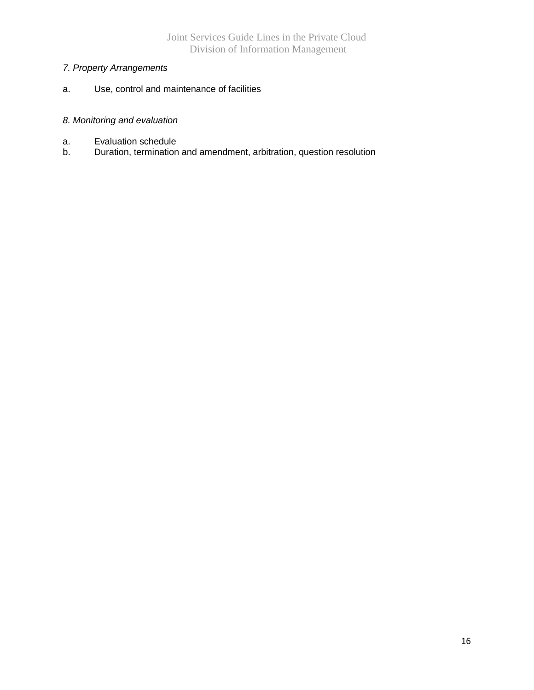### *7. Property Arrangements*

a. Use, control and maintenance of facilities

#### *8. Monitoring and evaluation*

- a. Evaluation schedule
- b. Duration, termination and amendment, arbitration, question resolution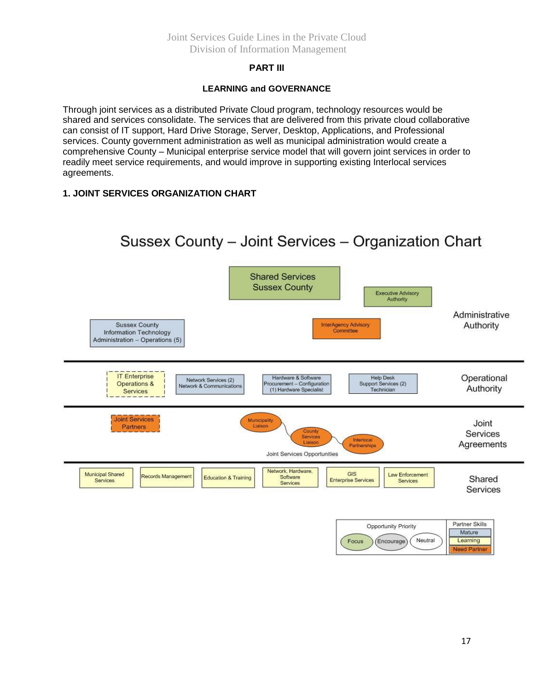#### Joint Services Guide Lines in the Private Cloud Division of Information Management

#### **PART III**

#### **LEARNING and GOVERNANCE**

Through joint services as a distributed Private Cloud program, technology resources would be shared and services consolidate. The services that are delivered from this private cloud collaborative can consist of IT support, Hard Drive Storage, Server, Desktop, Applications, and Professional services. County government administration as well as municipal administration would create a comprehensive County – Municipal enterprise service model that will govern joint services in order to readily meet service requirements, and would improve in supporting existing Interlocal services agreements.

#### **1. JOINT SERVICES ORGANIZATION CHART**

#### Sussex County - Joint Services - Organization Chart **Shared Services Sussex County Executive Advisory** Authority Administrative **Sussex County** InterAgency Advisory Authority Information Technology Committee Administration - Operations (5) **IT Enterprise** Operational Hardware & Software **Help Desk** Network Services (2) Procurement - Configuration<br>
(1) Hardware Specialist Support Services (2)<br>Technician **Operations &** Network & Communications Authority Services **Joint Services** Municipality<br>Liaison Joint Partners County Services Services Interlocal Agreements Partnerships Joint Services Opportunities Network, Hardware, Municipal Shared GIS Law Enforcement Records Management **Education & Training** Software Shared Services **Enterprise Services** Services Services Services Partner Skills Opportunity Priority Mature Neutral Encourage Learning Focus

Need Partne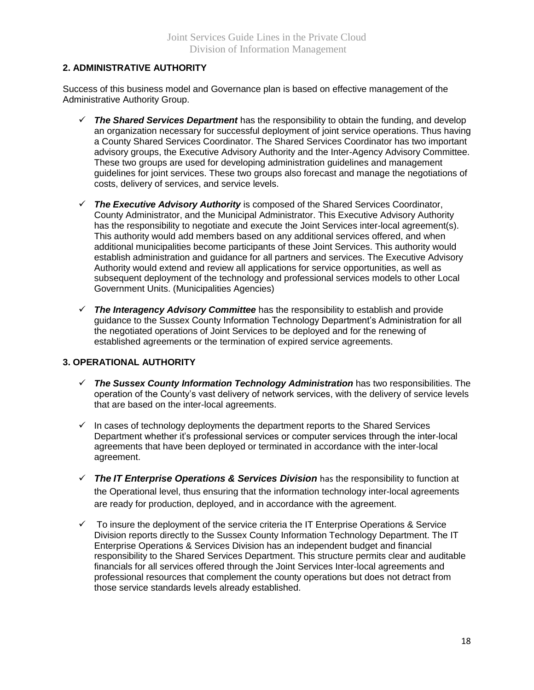#### **2. ADMINISTRATIVE AUTHORITY**

Success of this business model and Governance plan is based on effective management of the Administrative Authority Group.

- *The Shared Services Department* has the responsibility to obtain the funding, and develop an organization necessary for successful deployment of joint service operations. Thus having a County Shared Services Coordinator. The Shared Services Coordinator has two important advisory groups, the Executive Advisory Authority and the Inter-Agency Advisory Committee. These two groups are used for developing administration guidelines and management guidelines for joint services. These two groups also forecast and manage the negotiations of costs, delivery of services, and service levels.
- *The Executive Advisory Authority* is composed of the Shared Services Coordinator, County Administrator, and the Municipal Administrator. This Executive Advisory Authority has the responsibility to negotiate and execute the Joint Services inter-local agreement(s). This authority would add members based on any additional services offered, and when additional municipalities become participants of these Joint Services. This authority would establish administration and guidance for all partners and services. The Executive Advisory Authority would extend and review all applications for service opportunities, as well as subsequent deployment of the technology and professional services models to other Local Government Units. (Municipalities Agencies)
- *The Interagency Advisory Committee* has the responsibility to establish and provide guidance to the Sussex County Information Technology Department's Administration for all the negotiated operations of Joint Services to be deployed and for the renewing of established agreements or the termination of expired service agreements.

#### **3. OPERATIONAL AUTHORITY**

- *The Sussex County Information Technology Administration* has two responsibilities. The operation of the County's vast delivery of network services, with the delivery of service levels that are based on the inter-local agreements.
- $\checkmark$  In cases of technology deployments the department reports to the Shared Services Department whether it's professional services or computer services through the inter-local agreements that have been deployed or terminated in accordance with the inter-local agreement.
- *The IT Enterprise Operations & Services Division* has the responsibility to function at the Operational level, thus ensuring that the information technology inter-local agreements are ready for production, deployed, and in accordance with the agreement.
- $\checkmark$  To insure the deployment of the service criteria the IT Enterprise Operations & Service Division reports directly to the Sussex County Information Technology Department. The IT Enterprise Operations & Services Division has an independent budget and financial responsibility to the Shared Services Department. This structure permits clear and auditable financials for all services offered through the Joint Services Inter-local agreements and professional resources that complement the county operations but does not detract from those service standards levels already established.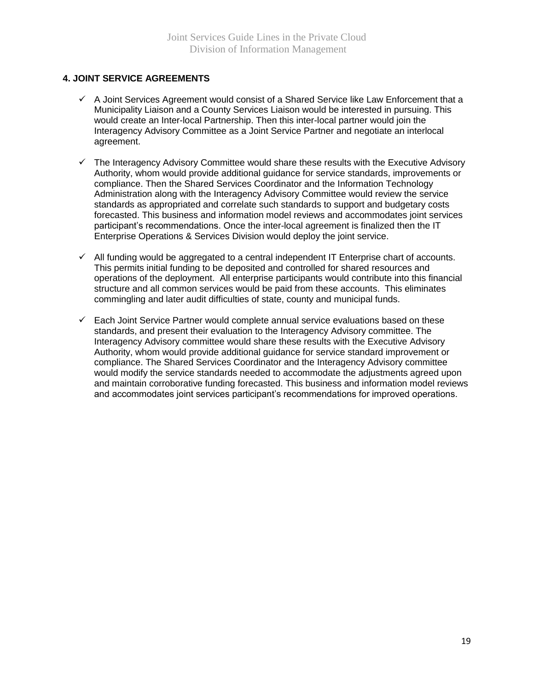#### **4. JOINT SERVICE AGREEMENTS**

- $\checkmark$  A Joint Services Agreement would consist of a Shared Service like Law Enforcement that a Municipality Liaison and a County Services Liaison would be interested in pursuing. This would create an Inter-local Partnership. Then this inter-local partner would join the Interagency Advisory Committee as a Joint Service Partner and negotiate an interlocal agreement.
- $\checkmark$  The Interagency Advisory Committee would share these results with the Executive Advisory Authority, whom would provide additional guidance for service standards, improvements or compliance. Then the Shared Services Coordinator and the Information Technology Administration along with the Interagency Advisory Committee would review the service standards as appropriated and correlate such standards to support and budgetary costs forecasted. This business and information model reviews and accommodates joint services participant's recommendations. Once the inter-local agreement is finalized then the IT Enterprise Operations & Services Division would deploy the joint service.
- $\checkmark$  All funding would be aggregated to a central independent IT Enterprise chart of accounts. This permits initial funding to be deposited and controlled for shared resources and operations of the deployment. All enterprise participants would contribute into this financial structure and all common services would be paid from these accounts. This eliminates commingling and later audit difficulties of state, county and municipal funds.
- $\checkmark$  Each Joint Service Partner would complete annual service evaluations based on these standards, and present their evaluation to the Interagency Advisory committee. The Interagency Advisory committee would share these results with the Executive Advisory Authority, whom would provide additional guidance for service standard improvement or compliance. The Shared Services Coordinator and the Interagency Advisory committee would modify the service standards needed to accommodate the adjustments agreed upon and maintain corroborative funding forecasted. This business and information model reviews and accommodates joint services participant's recommendations for improved operations.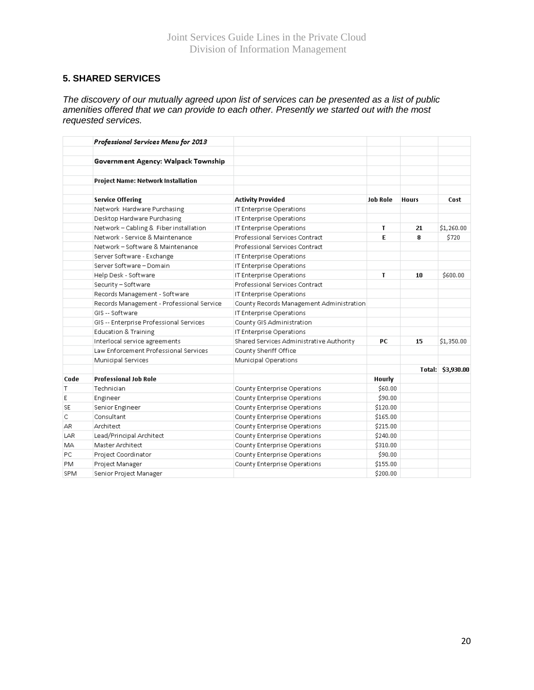#### **5. SHARED SERVICES**

*The discovery of our mutually agreed upon list of services can be presented as a list of public amenities offered that we can provide to each other. Presently we started out with the most requested services.*

|           | Professional Services Menu for 2013       |                                          |                 |              |                   |
|-----------|-------------------------------------------|------------------------------------------|-----------------|--------------|-------------------|
|           | Government Agency: Walpack Township       |                                          |                 |              |                   |
|           | Project Name: Network Installation        |                                          |                 |              |                   |
|           | <b>Service Offering</b>                   | <b>Activity Provided</b>                 | <b>Job Role</b> | <b>Hours</b> | Cost              |
|           | Network Hardware Purchasing               | IT Enterprise Operations                 |                 |              |                   |
|           | Desktop Hardware Purchasing               | IT Enterprise Operations                 |                 |              |                   |
|           | Network - Cabling & Fiber installation    | IT Enterprise Operations                 | T               | 21           | \$1,260.00        |
|           | Network - Service & Maintenance           | Professional Services Contract           | E               | 8            | \$720             |
|           | Network - Software & Maintenance          | Professional Services Contract           |                 |              |                   |
|           | Server Software - Exchange                | IT Enterprise Operations                 |                 |              |                   |
|           | Server Software - Domain                  | IT Enterprise Operations                 |                 |              |                   |
|           | Help Desk - Software                      | IT Enterprise Operations                 | T               | 10           | \$600.00          |
|           | Security - Software                       | Professional Services Contract           |                 |              |                   |
|           | Records Management - Software             | IT Enterprise Operations                 |                 |              |                   |
|           | Records Management - Professional Service | County Records Management Administration |                 |              |                   |
|           | GIS -- Software                           | IT Enterprise Operations                 |                 |              |                   |
|           | GIS -- Enterprise Professional Services   | County GIS Administration                |                 |              |                   |
|           | <b>Education &amp; Training</b>           | IT Enterprise Operations                 |                 |              |                   |
|           | Interlocal service agreements             | Shared Services Administrative Authority | PC.             | 15           | \$1,350.00        |
|           | Law Enforcement Professional Services     | County Sheriff Office                    |                 |              |                   |
|           | Municipal Services                        | Municipal Operations                     |                 |              |                   |
|           |                                           |                                          |                 |              | Total: \$3,930.00 |
| Code      | <b>Professional Job Role</b>              |                                          | Hourly          |              |                   |
| Τ         | Technician                                | County Enterprise Operations             | \$60.00         |              |                   |
| Ε         | Engineer                                  | County Enterprise Operations             | \$90.00         |              |                   |
| <b>SE</b> | Senior Engineer                           | County Enterprise Operations             | \$120.00        |              |                   |
| C         | Consultant                                | County Enterprise Operations             | \$165.00        |              |                   |
| AR.       | Architect                                 | County Enterprise Operations             | \$215.00        |              |                   |
| LAR       | Lead/Principal Architect                  | County Enterprise Operations             | \$240.00        |              |                   |
| MА        | Master Architect                          | County Enterprise Operations             | \$310.00        |              |                   |
| PC        | Project Coordinator                       | County Enterprise Operations             | \$90.00         |              |                   |
| PM        | Project Manager                           | County Enterprise Operations             | \$155.00        |              |                   |
| SPM       | Senior Project Manager                    |                                          | \$200.00        |              |                   |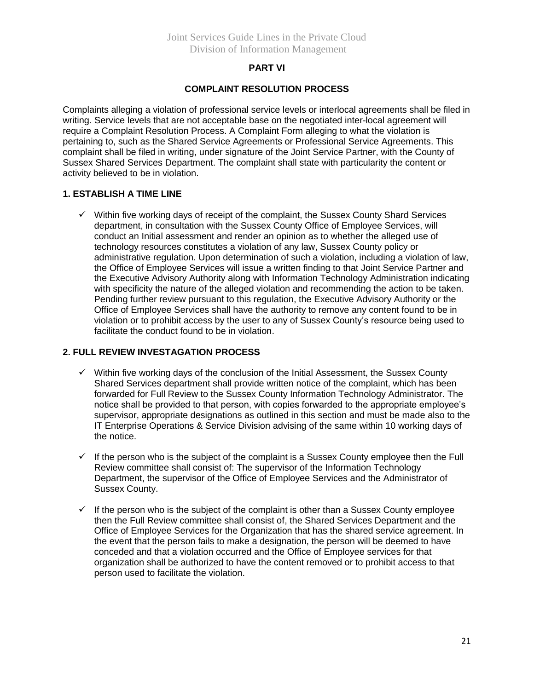#### **PART VI**

#### **COMPLAINT RESOLUTION PROCESS**

Complaints alleging a violation of professional service levels or interlocal agreements shall be filed in writing. Service levels that are not acceptable base on the negotiated inter-local agreement will require a Complaint Resolution Process. A Complaint Form alleging to what the violation is pertaining to, such as the Shared Service Agreements or Professional Service Agreements. This complaint shall be filed in writing, under signature of the Joint Service Partner, with the County of Sussex Shared Services Department. The complaint shall state with particularity the content or activity believed to be in violation.

#### **1. ESTABLISH A TIME LINE**

 $\checkmark$  Within five working days of receipt of the complaint, the Sussex County Shard Services department, in consultation with the Sussex County Office of Employee Services, will conduct an Initial assessment and render an opinion as to whether the alleged use of technology resources constitutes a violation of any law, Sussex County policy or administrative regulation. Upon determination of such a violation, including a violation of law, the Office of Employee Services will issue a written finding to that Joint Service Partner and the Executive Advisory Authority along with Information Technology Administration indicating with specificity the nature of the alleged violation and recommending the action to be taken. Pending further review pursuant to this regulation, the Executive Advisory Authority or the Office of Employee Services shall have the authority to remove any content found to be in violation or to prohibit access by the user to any of Sussex County's resource being used to facilitate the conduct found to be in violation.

#### **2. FULL REVIEW INVESTAGATION PROCESS**

- $\checkmark$  Within five working days of the conclusion of the Initial Assessment, the Sussex County Shared Services department shall provide written notice of the complaint, which has been forwarded for Full Review to the Sussex County Information Technology Administrator. The notice shall be provided to that person, with copies forwarded to the appropriate employee's supervisor, appropriate designations as outlined in this section and must be made also to the IT Enterprise Operations & Service Division advising of the same within 10 working days of the notice.
- $\checkmark$  If the person who is the subject of the complaint is a Sussex County employee then the Full Review committee shall consist of: The supervisor of the Information Technology Department, the supervisor of the Office of Employee Services and the Administrator of Sussex County.
- $\checkmark$  If the person who is the subject of the complaint is other than a Sussex County employee then the Full Review committee shall consist of, the Shared Services Department and the Office of Employee Services for the Organization that has the shared service agreement. In the event that the person fails to make a designation, the person will be deemed to have conceded and that a violation occurred and the Office of Employee services for that organization shall be authorized to have the content removed or to prohibit access to that person used to facilitate the violation.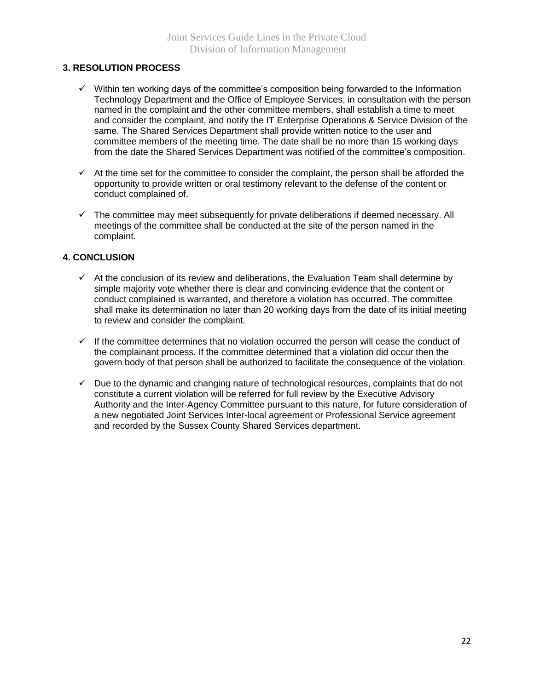#### **3. RESOLUTION PROCESS**

- $\checkmark$  Within ten working days of the committee's composition being forwarded to the Information Technology Department and the Office of Employee Services, in consultation with the person named in the complaint and the other committee members, shall establish a time to meet and consider the complaint, and notify the IT Enterprise Operations & Service Division of the same. The Shared Services Department shall provide written notice to the user and committee members of the meeting time. The date shall be no more than 15 working days from the date the Shared Services Department was notified of the committee's composition.
- $\checkmark$  At the time set for the committee to consider the complaint, the person shall be afforded the opportunity to provide written or oral testimony relevant to the defense of the content or conduct complained of.
- $\checkmark$  The committee may meet subsequently for private deliberations if deemed necessary. All meetings of the committee shall be conducted at the site of the person named in the complaint.

#### **4. CONCLUSION**

- $\checkmark$  At the conclusion of its review and deliberations, the Evaluation Team shall determine by simple majority vote whether there is clear and convincing evidence that the content or conduct complained is warranted, and therefore a violation has occurred. The committee shall make its determination no later than 20 working days from the date of its initial meeting to review and consider the complaint.
- $\checkmark$  If the committee determines that no violation occurred the person will cease the conduct of the complainant process. If the committee determined that a violation did occur then the govern body of that person shall be authorized to facilitate the consequence of the violation.
- $\checkmark$  Due to the dynamic and changing nature of technological resources, complaints that do not constitute a current violation will be referred for full review by the Executive Advisory Authority and the Inter-Agency Committee pursuant to this nature, for future consideration of a new negotiated Joint Services Inter-local agreement or Professional Service agreement and recorded by the Sussex County Shared Services department.